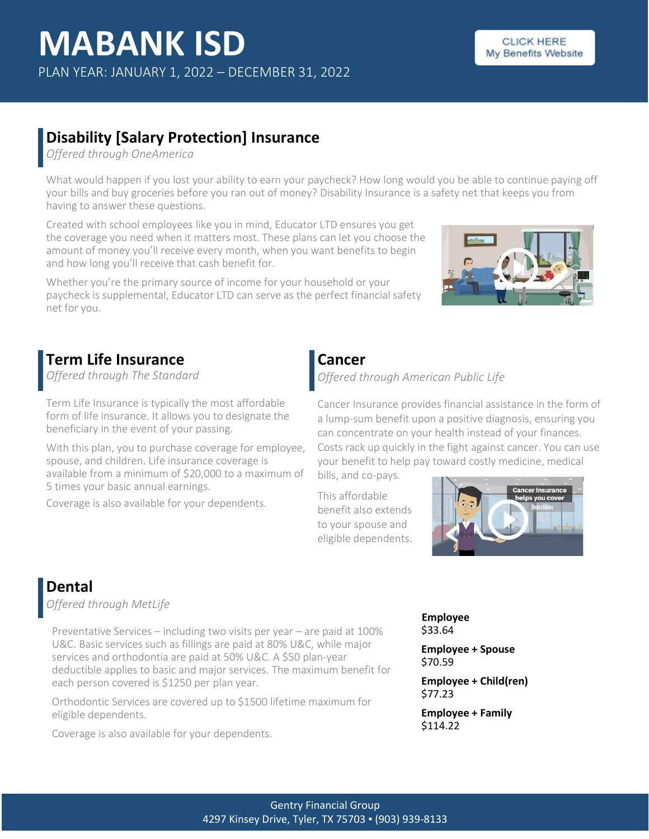### **Disability [Salary Protection] Insurance**

*Offered through OneAmerica*

What would happen if you lost your ability to earn your paycheck? How long would you be able to continue paying off your bills and buy groceries before you ran out of money? Disability Insurance is a safety net that keeps you from having to answer these questions.

Created with school employees like you in mind, Educator LTD ensures you get the coverage you need when it matters most. These plans can let you choose the amount of money you'll receive every month, when you want benefits to begin and how long you'll receive that cash benefit for.

Whether you're the primary source of income for your household or your paycheck is supplemental, Educator LTD can serve as the perfect financial safety net for you.



### **Term Life Insurance**

*Offered through The Standard*

Term Life Insurance is typically the most affordable form of life insurance. It allows you to designate the beneficiary in the event of your passing.

With this plan, you to purchase coverage for employee, spouse, and children. Life insurance coverage is available from a minimum of \$20,000 to a maximum of 5 times your basic annual earnings.

Coverage is also available for your dependents.

## **Cancer**

*Offered through American Public Life*

Cancer Insurance provides financial assistance in the form of a lump-sum benefit upon a positive diagnosis, ensuring you can concentrate on your health instead of your finances. Costs rack up quickly in the fight against cancer. You can use your benefit to help pay toward costly medicine, medical

bills, and co-pays.

This affordable benefit also extends to your spouse and eligible dependents.



## **Dental**

*Offered through MetLife*

Preventative Services – including two visits per year – are paid at 100% U&C. Basic services such as fillings are paid at 80% U&C, while major services and orthodontia are paid at 50% U&C. A \$50 plan-year deductible applies to basic and major services. The maximum benefit for each person covered is \$1250 per plan year.

Orthodontic Services are covered up to \$1500 lifetime maximum for eligible dependents.

Coverage is also available for your dependents.

**Employee** \$33.64

**Employee + Spouse** \$70.59

**Employee + Child(ren)** \$77.23

**Employee + Family** \$114.22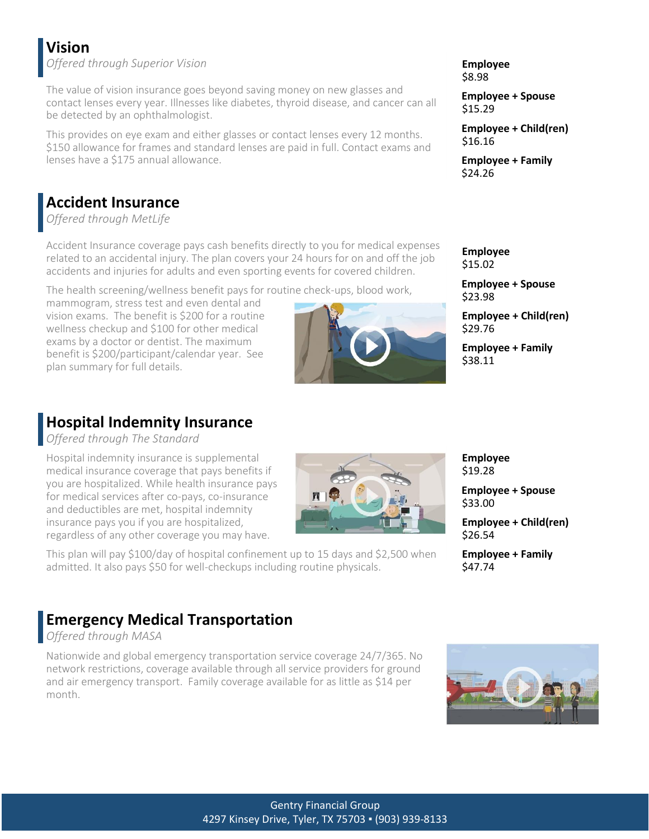## **Vision**

*Offered through Superior Vision* **Employee**

The value of vision insurance goes beyond saving money on new glasses and contact lenses every year. Illnesses like diabetes, thyroid disease, and cancer can all be detected by an ophthalmologist.

This provides on eye exam and either glasses or contact lenses every 12 months. \$150 allowance for frames and standard lenses are paid in full. Contact exams and lenses have a \$175 annual allowance.

## **Accident Insurance**

*Offered through MetLife*

Accident Insurance coverage pays cash benefits directly to you for medical expenses related to an accidental injury. The plan covers your 24 hours for on and off the job accidents and injuries for adults and even sporting events for covered children.

The health screening/wellness benefit pays for routine check-ups, blood work,

mammogram, stress test and even dental and vision exams. The benefit is \$200 for a routine wellness checkup and \$100 for other medical exams by a doctor or dentist. The maximum benefit is \$200/participant/calendar year. See plan summary for full details.

### **Hospital Indemnity Insurance**

*Offered through The Standard*

Hospital indemnity insurance is supplemental medical insurance coverage that pays benefits if you are hospitalized. While health insurance pays for medical services after co-pays, co-insurance and deductibles are met, hospital indemnity insurance pays you if you are hospitalized, regardless of any other coverage you may have.



This plan will pay \$100/day of hospital confinement up to 15 days and \$2,500 when admitted. It also pays \$50 for well-checkups including routine physicals.

# \$8.98

**Employee + Spouse** \$15.29

**Employee + Child(ren)** \$16.16

**Employee + Family** \$24.26

**Employee** \$15.02

**Employee + Spouse** \$23.98

**Employee + Child(ren)** \$29.76

**Employee + Family** \$38.11

#### **Employee** \$19.28

**Employee + Spouse** \$33.00

**Employee + Child(ren)** \$26.54

**Employee + Family** \$47.74

### **Emergency Medical Transportation**

*Offered through MASA*

Nationwide and global emergency transportation service coverage 24/7/365. No network restrictions, coverage available through all service providers for ground and air emergency transport. Family coverage available for as little as \$14 per month.